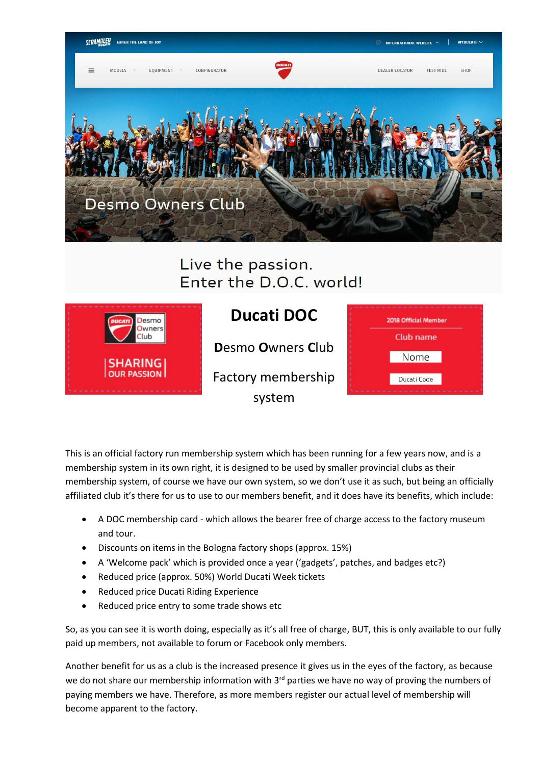

## Live the passion. Enter the D.O.C. world!



## **Ducati DOC**

**D**esmo **O**wners **C**lub

Factory membership system



This is an official factory run membership system which has been running for a few years now, and is a membership system in its own right, it is designed to be used by smaller provincial clubs as their membership system, of course we have our own system, so we don't use it as such, but being an officially affiliated club it's there for us to use to our members benefit, and it does have its benefits, which include:

- A DOC membership card which allows the bearer free of charge access to the factory museum and tour.
- Discounts on items in the Bologna factory shops (approx. 15%)
- A 'Welcome pack' which is provided once a year ('gadgets', patches, and badges etc?)
- Reduced price (approx. 50%) World Ducati Week tickets
- Reduced price Ducati Riding Experience
- Reduced price entry to some trade shows etc

So, as you can see it is worth doing, especially as it's all free of charge, BUT, this is only available to our fully paid up members, not available to forum or Facebook only members.

Another benefit for us as a club is the increased presence it gives us in the eyes of the factory, as because we do not share our membership information with 3<sup>rd</sup> parties we have no way of proving the numbers of paying members we have. Therefore, as more members register our actual level of membership will become apparent to the factory.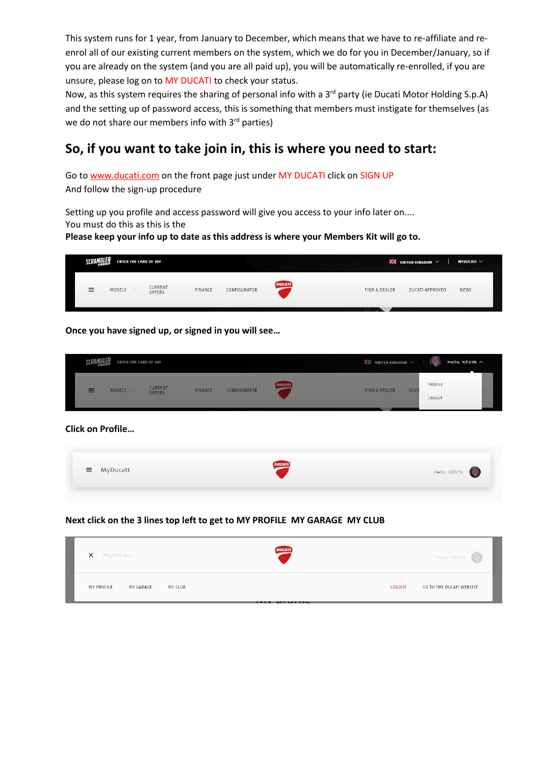This system runs for 1 year, from January to December, which means that we have to re-affiliate and reenrol all of our existing current members on the system, which we do for you in December/January, so if you are already on the system (and you are all paid up), you will be automatically re-enrolled, if you are unsure, please log on to MY DUCATI to check your status.

Now, as this system requires the sharing of personal info with a 3<sup>rd</sup> party (ie Ducati Motor Holding S.p.A) and the setting up of password access, this is something that members must instigate for themselves (as we do not share our members info with  $3<sup>rd</sup>$  parties)

## **So, if you want to take join in, this is where you need to start:**

Go to [www.ducati.com](https://www.ducati.com/gb/en/home) on the front page just under MY DUCATI click on SIGN UP And follow the sign-up procedure

Setting up you profile and access password will give you access to your info later on.... You must do this as this is the

**Please keep your info up to date as this address is where your Members Kit will go to.**



**Once you have signed up, or signed in you will see…**

| SCRAMBLER<br><b>ENTER THE LAND OF JOY</b> |                    | $\frac{N}{N}$ UNITED KINGDOM $\sim$<br>Hello, KEVIN ^ |               |                       |  |
|-------------------------------------------|--------------------|-------------------------------------------------------|---------------|-----------------------|--|
| $\equiv$<br>MODELS                        | CURRENT<br>FINANCE | <b>DUCATI</b><br>CONFIGURATOR                         | FIND A DEALER | PROFILE<br><b>DUC</b> |  |
|                                           | OFFERS             |                                                       |               | LOGOUT                |  |

**Click on Profile…**



**Next click on the 3 lines top left to get to MY PROFILE MY GARAGE MY CLUB**